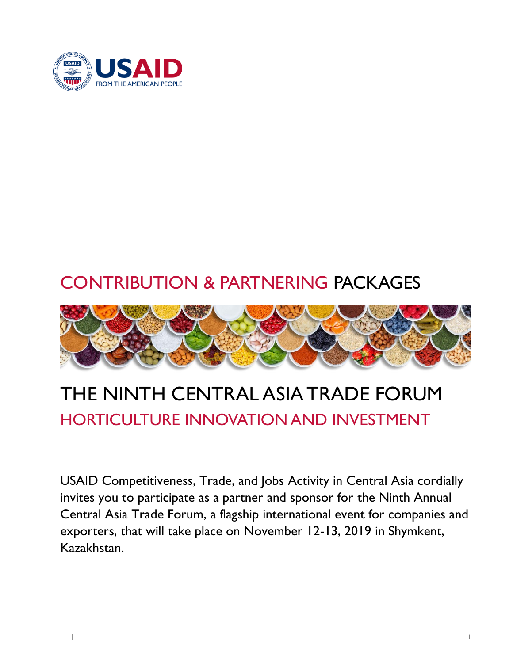

## CONTRIBUTION & PARTNERING PACKAGES



# THE NINTH CENTRAL ASIA TRADE FORUM HORTICULTURE INNOVATION AND INVESTMENT

USAID Competitiveness, Trade, and Jobs Activity in Central Asia cordially invites you to participate as a partner and sponsor for the Ninth Annual Central Asia Trade Forum, a flagship international event for companies and exporters, that will take place on November 12-13, 2019 in Shymkent, Kazakhstan.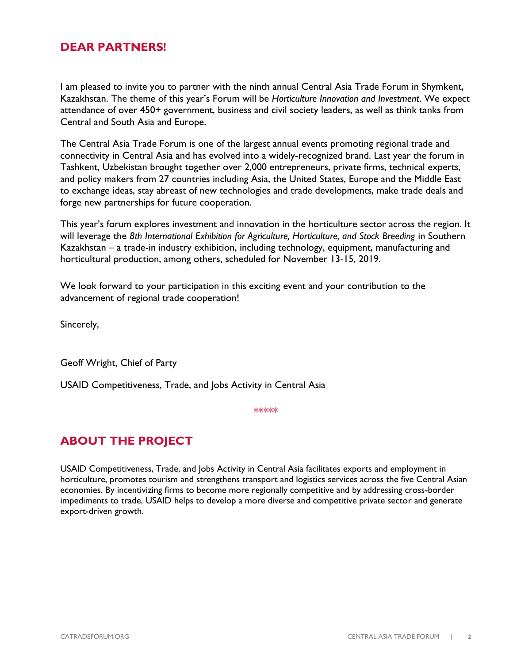#### **DEAR PARTNERS!**

I am pleased to invite you to partner with the ninth annual Central Asia Trade Forum in Shymkent, Kazakhstan. The theme of this year's Forum will be *Horticulture Innovation and Investment*. We expect attendance of over 450+ government, business and civil society leaders, as well as think tanks from Central and South Asia and Europe.

The Central Asia Trade Forum is one of the largest annual events promoting regional trade and connectivity in Central Asia and has evolved into a widely-recognized brand. Last year the forum in Tashkent, Uzbekistan brought together over 2,000 entrepreneurs, private firms, technical experts, and policy makers from 27 countries including Asia, the United States, Europe and the Middle East to exchange ideas, stay abreast of new technologies and trade developments, make trade deals and forge new partnerships for future cooperation.

This year's forum explores investment and innovation in the horticulture sector across the region. It will leverage the *8th International Exhibition for Agriculture, Horticulture, and Stock Breeding* in Southern Kazakhstan – a trade-in industry exhibition, including technology, equipment, manufacturing and horticultural production, among others, scheduled for November 13-15, 2019.

We look forward to your participation in this exciting event and your contribution to the advancement of regional trade cooperation!

Sincerely,

Geoff Wright, Chief of Party

USAID Competitiveness, Trade, and Jobs Activity in Central Asia

\*\*\*\*\*

## **ABOUT THE PROJECT**

USAID Competitiveness, Trade, and Jobs Activity in Central Asia facilitates exports and employment in horticulture, promotes tourism and strengthens transport and logistics services across the five Central Asian economies. By incentivizing firms to become more regionally competitive and by addressing cross-border impediments to trade, USAID helps to develop a more diverse and competitive private sector and generate export-driven growth.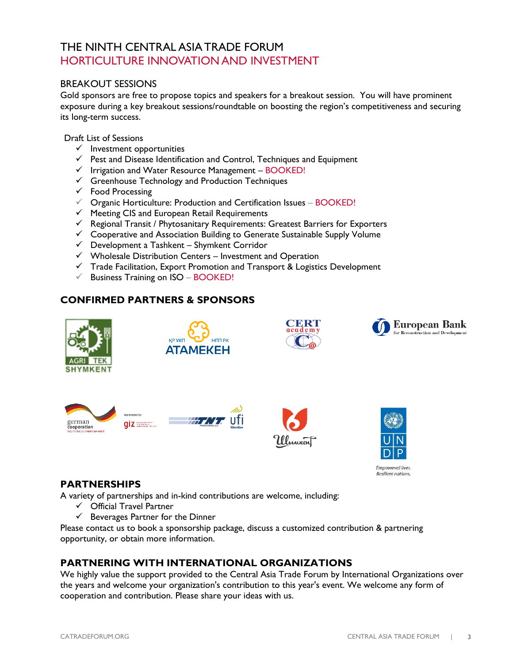### THE NINTH CENTRAL ASIA TRADE FORUM HORTICULTURE INNOVATION AND INVESTMENT

#### BREAKOUT SESSIONS

Gold sponsors are free to propose topics and speakers for a breakout session. You will have prominent exposure during a key breakout sessions/roundtable on boosting the region's competitiveness and securing its long-term success.

Draft List of Sessions

- $\checkmark$  Investment opportunities
- $\checkmark$  Pest and Disease Identification and Control, Techniques and Equipment
- $\checkmark$  Irrigation and Water Resource Management BOOKED!
- $\checkmark$  Greenhouse Technology and Production Techniques
- $\checkmark$  Food Processing
- $\checkmark$  Organic Horticulture: Production and Certification Issues BOOKED!
- $\checkmark$  Meeting CIS and European Retail Requirements
- $\checkmark$  Regional Transit / Phytosanitary Requirements: Greatest Barriers for Exporters
- $\checkmark$  Cooperative and Association Building to Generate Sustainable Supply Volume
- $\checkmark$  Development a Tashkent Shymkent Corridor
- $\checkmark$  Wholesale Distribution Centers Investment and Operation
- $\checkmark$  Trade Facilitation, Export Promotion and Transport & Logistics Development
- $\checkmark$  Business Training on ISO BOOKED!

#### **CONFIRMED PARTNERS & SPONSORS**

















#### **PARTNERSHIPS**

A variety of partnerships and in-kind contributions are welcome, including:

- $\checkmark$  Official Travel Partner
- $\checkmark$  Beverages Partner for the Dinner

Please contact us to book a sponsorship package, discuss a customized contribution & partnering opportunity, or obtain more information.

#### **PARTNERING WITH INTERNATIONAL ORGANIZATIONS**

We highly value the support provided to the Central Asia Trade Forum by International Organizations over the years and welcome your organization's contribution to this year's event. We welcome any form of cooperation and contribution. Please share your ideas with us.